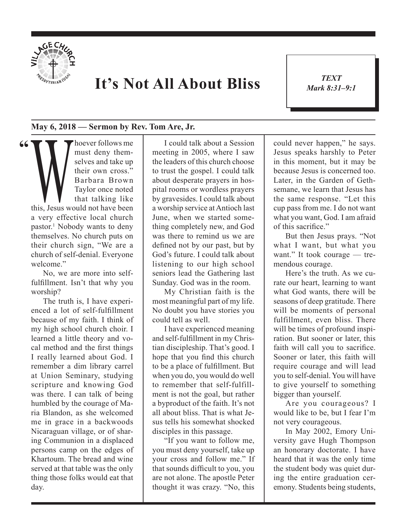

## **It's Not All About Bliss**

*TEXT Mark 8:31–9:1* 1

## **May 6, 2018 — Sermon by Rev. Tom Are, Jr.**

**"** Marketing Marketing Theorem Selves and take up<br>their own cross."<br>Barbara Brown<br>Taylor once noted<br>that talking like<br>this, Jesus would not have been must deny themselves and take up their own cross." Barbara Brown Taylor once noted that talking like a very effective local church pastor.1 Nobody wants to deny themselves. No church puts on their church sign, "We are a church of self-denial. Everyone welcome."

No, we are more into selffulfillment. Isn't that why you worship?

The truth is, I have experienced a lot of self-fulfillment because of my faith. I think of my high school church choir. I learned a little theory and vocal method and the first things I really learned about God. I remember a dim library carrel at Union Seminary, studying scripture and knowing God was there. I can talk of being humbled by the courage of Maria Blandon, as she welcomed me in grace in a backwoods Nicaraguan village, or of sharing Communion in a displaced persons camp on the edges of Khartoum. The bread and wine served at that table was the only thing those folks would eat that day.

I could talk about a Session meeting in 2005, where I saw the leaders of this church choose to trust the gospel. I could talk about desperate prayers in hospital rooms or wordless prayers by gravesides. I could talk about a worship service at Antioch last June, when we started something completely new, and God was there to remind us we are defined not by our past, but by God's future. I could talk about listening to our high school seniors lead the Gathering last Sunday. God was in the room.

My Christian faith is the most meaningful part of my life. No doubt you have stories you could tell as well.

I have experienced meaning and self-fulfillment in my Christian discipleship. That's good. I hope that you find this church to be a place of fulfillment. But when you do, you would do well to remember that self-fulfillment is not the goal, but rather a byproduct of the faith. It's not all about bliss. That is what Jesus tells his somewhat shocked disciples in this passage.

"If you want to follow me, you must deny yourself, take up your cross and follow me." If that sounds difficult to you, you are not alone. The apostle Peter thought it was crazy. "No, this

could never happen," he says. Jesus speaks harshly to Peter in this moment, but it may be because Jesus is concerned too. Later, in the Garden of Gethsemane, we learn that Jesus has the same response. "Let this cup pass from me. I do not want what you want, God. I am afraid of this sacrifice."

But then Jesus prays. "Not what I want, but what you want." It took courage — tremendous courage.

Here's the truth. As we curate our heart, learning to want what God wants, there will be seasons of deep gratitude. There will be moments of personal fulfillment, even bliss. There will be times of profound inspiration. But sooner or later, this faith will call you to sacrifice. Sooner or later, this faith will require courage and will lead you to self-denial. You will have to give yourself to something bigger than yourself.

Are you courageous? I would like to be, but I fear I'm not very courageous.

In May 2002, Emory University gave Hugh Thompson an honorary doctorate. I have heard that it was the only time the student body was quiet during the entire graduation ceremony. Students being students,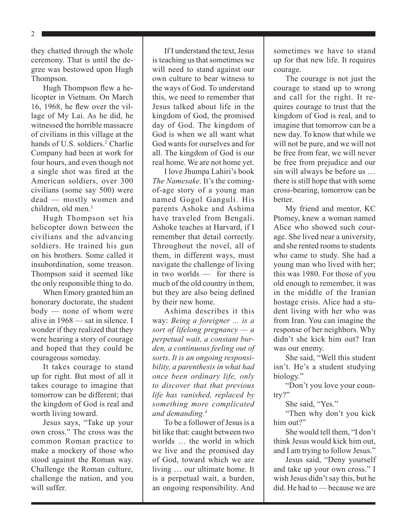2

they chatted through the whole ceremony. That is until the degree was bestowed upon Hugh Thompson.

Hugh Thompson flew a helicopter in Vietnam. On March 16, 1968, he flew over the village of My Lai. As he did, he witnessed the horrible massacre of civilians in this village at the hands of U.S. soldiers.<sup>2</sup> Charlie Company had been at work for four hours, and even though not a single shot was fired at the American soldiers, over 300 civilians (some say 500) were dead — mostly women and children, old men.<sup>3</sup>

Hugh Thompson set his helicopter down between the civilians and the advancing soldiers. He trained his gun on his brothers. Some called it insubordination, some treason. Thompson said it seemed like the only responsible thing to do.

When Emory granted him an honorary doctorate, the student body — none of whom were alive in 1968 — sat in silence. I wonder if they realized that they were hearing a story of courage and hoped that they could be courageous someday.

It takes courage to stand up for right. But most of all it takes courage to imagine that tomorrow can be different; that the kingdom of God is real and worth living toward.

Jesus says, "Take up your own cross." The cross was the common Roman practice to make a mockery of those who stood against the Roman way. Challenge the Roman culture, challenge the nation, and you will suffer.

If I understand the text, Jesus is teaching us that sometimes we will need to stand against our own culture to bear witness to the ways of God. To understand this, we need to remember that Jesus talked about life in the kingdom of God, the promised day of God. The kingdom of God is when we all want what God wants for ourselves and for all. The kingdom of God is our real home. We are not home yet.

I love Jhumpa Lahiri's book *The Namesake*. It's the comingof-age story of a young man named Gogol Ganguli. His parents Ashoke and Ashima have traveled from Bengali. Ashoke teaches at Harvard, if I remember that detail correctly. Throughout the novel, all of them, in different ways, must navigate the challenge of living in two worlds — for there is much of the old country in them, but they are also being defined by their new home.

Ashima describes it this way: *Being a foreigner ... is a sort of lifelong pregnancy — a perpetual wait, a constant burden, a continuous feeling out of sorts. It is an ongoing responsibility, a parenthesis in what had once been ordinary life, only to discover that that previous life has vanished, replaced by something more complicated and demanding.4*

To be a follower of Jesus is a bit like that: caught between two worlds … the world in which we live and the promised day of God, toward which we are living … our ultimate home. It is a perpetual wait, a burden, an ongoing responsibility. And sometimes we have to stand up for that new life. It requires courage.

The courage is not just the courage to stand up to wrong and call for the right. It requires courage to trust that the kingdom of God is real, and to imagine that tomorrow can be a new day. To know that while we will not be pure, and we will not be free from fear, we will never be free from prejudice and our sin will always be before us … there is still hope that with some cross-bearing, tomorrow can be better.

My friend and mentor, KC Ptomey, knew a woman named Alice who showed such courage. She lived near a university, and she rented rooms to students who came to study. She had a young man who lived with her; this was 1980. For those of you old enough to remember, it was in the middle of the Iranian hostage crisis. Alice had a student living with her who was from Iran. You can imagine the response of her neighbors. Why didn't she kick him out? Iran was our enemy.

She said, "Well this student isn't. He's a student studying biology."

"Don't you love your country?"

She said, "Yes."

"Then why don't you kick him out?"

She would tell them, "I don't think Jesus would kick him out, and I am trying to follow Jesus."

Jesus said, "Deny yourself and take up your own cross." I wish Jesus didn't say this, but he did. He had to — because we are